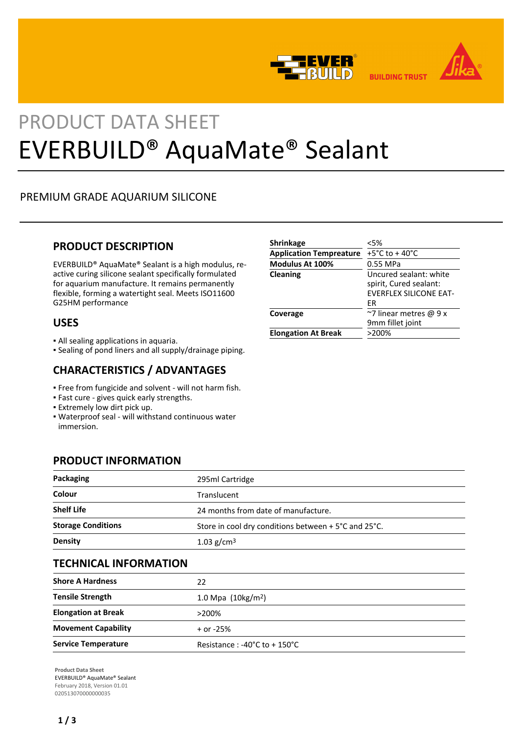



# PRODUCT DATA SHEET EVERBUILD® AquaMate® Sealant

# PREMIUM GRADE AQUARIUM SILICONE

## **PRODUCT DESCRIPTION**

EVERBUILD® AquaMate® Sealant is a high modulus, reactive curing silicone sealant specifically formulated for aquarium manufacture. It remains permanently flexible, forming a watertight seal. Meets ISO11600 G25HM performance

## **USES**

- All sealing applications in aquaria.
- Sealing of pond liners and all supply/drainage piping.

## **CHARACTERISTICS / ADVANTAGES**

- Free from fungicide and solvent will not harm fish.
- Fast cure gives quick early strengths.
- **Extremely low dirt pick up.**
- Waterproof seal will withstand continuous water immersion.

## **PRODUCT INFORMATION**

| Packaging                 | 295ml Cartridge                                      |  |
|---------------------------|------------------------------------------------------|--|
| Colour                    | Translucent                                          |  |
| <b>Shelf Life</b>         | 24 months from date of manufacture.                  |  |
| <b>Storage Conditions</b> | Store in cool dry conditions between + 5°C and 25°C. |  |
| <b>Density</b>            | 1.03 $g/cm3$                                         |  |

## **TECHNICAL INFORMATION**

| <b>Shore A Hardness</b>    | 22                                              |  |
|----------------------------|-------------------------------------------------|--|
| <b>Tensile Strength</b>    | 1.0 Mpa $(10\,\text{kg/m}^2)$                   |  |
| <b>Elongation at Break</b> | $>200\%$                                        |  |
| <b>Movement Capability</b> | $+$ or -25%                                     |  |
| <b>Service Temperature</b> | Resistance: $-40^{\circ}$ C to $+150^{\circ}$ C |  |

**Product Data Sheet** EVERBUILD® AquaMate® Sealant February 2018, Version 01.01 020513070000000035

| <b>Shrinkage</b>               | < 5%                                                                                    |
|--------------------------------|-----------------------------------------------------------------------------------------|
| <b>Application Tempreature</b> | +5°C to +40°C                                                                           |
| Modulus At 100%                | 0.55 MPa                                                                                |
| Cleaning                       | Uncured sealant: white<br>spirit, Cured sealant:<br><b>EVERFLEX SILICONE EAT-</b><br>ЕR |
| Coverage                       | $\approx$ 7 linear metres @ 9 x<br>9mm fillet joint                                     |
| <b>Elongation At Break</b>     | >200%                                                                                   |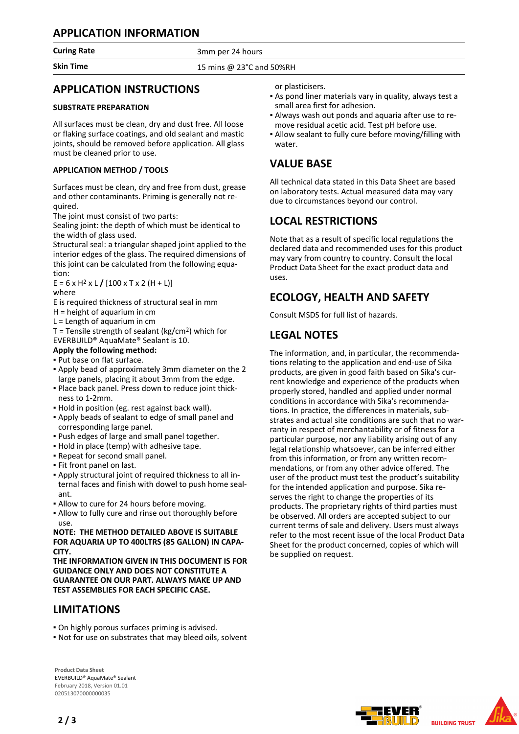## **APPLICATION INFORMATION**

**Curing Rate** 3mm per 24 hours

**Skin Time** 15 mins @ 23°C and 50%RH

## **APPLICATION INSTRUCTIONS**

## **SUBSTRATE PREPARATION**

All surfaces must be clean, dry and dust free. All loose or flaking surface coatings, and old sealant and mastic joints, should be removed before application. All glass must be cleaned prior to use.

## **APPLICATION METHOD / TOOLS**

Surfaces must be clean, dry and free from dust, grease and other contaminants. Priming is generally not required.

The joint must consist of two parts:

Sealing joint: the depth of which must be identical to the width of glass used.

Structural seal: a triangular shaped joint applied to the interior edges of the glass. The required dimensions of this joint can be calculated from the following equation:

 $E = 6 \times H^2 \times L / [100 \times T \times 2 (H + L)]$ where

E is required thickness of structural seal in mm

- H = height of aquarium in cm
- L = Length of aquarium in cm

 $T =$  Tensile strength of sealant (kg/cm<sup>2</sup>) which for EVERBUILD® AquaMate® Sealant is 10.

**Apply the following method:**

▪ Put base on flat surface.

- Apply bead of approximately 3mm diameter on the 2 large panels, placing it about 3mm from the edge.
- Place back panel. Press down to reduce joint thick-▪ ness to 1-2mm.
- Hold in position (eg. rest against back wall).
- Apply beads of sealant to edge of small panel and corresponding large panel.
- Push edges of large and small panel together.
- Hold in place (temp) with adhesive tape.
- Repeat for second small panel.
- Fit front panel on last.
- Apply structural joint of required thickness to all in-▪ ternal faces and finish with dowel to push home sealant.
- **.** Allow to cure for 24 hours before moving.
- **.** Allow to fully cure and rinse out thoroughly before use.

**NOTE: THE METHOD DETAILED ABOVE IS SUITABLE FOR AQUARIA UP TO 400LTRS (85 GALLON) IN CAPA-CITY.**

**THE INFORMATION GIVEN IN THIS DOCUMENT IS FOR GUIDANCE ONLY AND DOES NOT CONSTITUTE A GUARANTEE ON OUR PART. ALWAYS MAKE UP AND TEST ASSEMBLIES FOR EACH SPECIFIC CASE.**

## **LIMITATIONS**

▪ On highly porous surfaces priming is advised.

▪ Not for use on substrates that may bleed oils, solvent

**Product Data Sheet** EVERBUILD® AquaMate® Sealant February 2018, Version 01.01 020513070000000035

or plasticisers.

- As pond liner materials vary in quality, always test a small area first for adhesion.
- Always wash out ponds and aquaria after use to re-▪ move residual acetic acid. Test pH before use.
- Allow sealant to fully cure before moving/filling with water.

## **VALUE BASE**

All technical data stated in this Data Sheet are based on laboratory tests. Actual measured data may vary due to circumstances beyond our control.

## **LOCAL RESTRICTIONS**

Note that as a result of specific local regulations the declared data and recommended uses for this product may vary from country to country. Consult the local Product Data Sheet for the exact product data and uses.

# **ECOLOGY, HEALTH AND SAFETY**

Consult MSDS for full list of hazards.

## **LEGAL NOTES**

The information, and, in particular, the recommendations relating to the application and end-use of Sika products, are given in good faith based on Sika's current knowledge and experience of the products when properly stored, handled and applied under normal conditions in accordance with Sika's recommendations. In practice, the differences in materials, substrates and actual site conditions are such that no warranty in respect of merchantability or of fitness for a particular purpose, nor any liability arising out of any legal relationship whatsoever, can be inferred either from this information, or from any written recommendations, or from any other advice offered. The user of the product must test the product's suitability for the intended application and purpose. Sika reserves the right to change the properties of its products. The proprietary rights of third parties must be observed. All orders are accepted subject to our current terms of sale and delivery. Users must always refer to the most recent issue of the local Product Data Sheet for the product concerned, copies of which will be supplied on request.